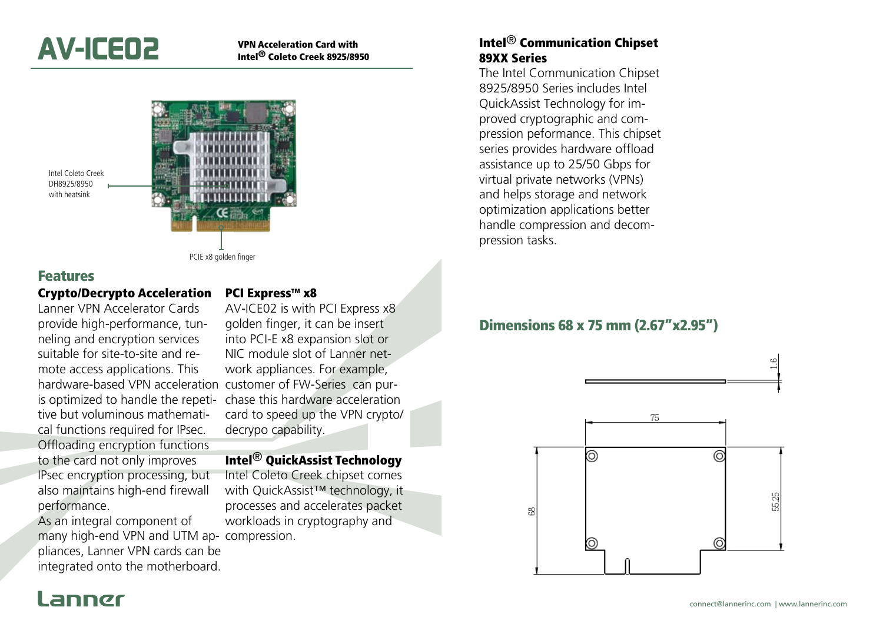

Intel® Coleto Creek 8925/8950



Intel Coleto Creek DH8925/8950 with heatsink

PCIE x8 golden finger

#### Features

#### Crypto/Decrypto Acceleration

Lanner VPN Accelerator Cards provide high-performance, tunneling and encryption services suitable for site-to-site and remote access applications. This hardware-based VPN acceleration customer of FW-Series can puris optimized to handle the repetitive but voluminous mathematical functions required for IPsec. Offloading encryption functions to the card not only improves IPsec encryption processing, but also maintains high-end firewall performance.

As an integral component of many high-end VPN and UTM ap-compression. pliances, Lanner VPN cards can be integrated onto the motherboard.

#### PCI Express™ x8

AV-ICE02 is with PCI Express x8 golden finger, it can be insert into PCI-E x8 expansion slot or NIC module slot of Lanner network appliances. For example, chase this hardware acceleration card to speed up the VPN crypto/ decrypo capability.

#### Intel® QuickAssist Technology

Intel Coleto Creek chipset comes with QuickAssist™ technology, it processes and accelerates packet workloads in cryptography and

### Intel® Communication Chipset 89XX Series

The Intel Communication Chipset 8925/8950 Series includes Intel QuickAssist Technology for improved cryptographic and compression peformance. This chipset series provides hardware offload assistance up to 25/50 Gbps for virtual private networks (VPNs) and helps storage and network optimization applications better handle compression and decompression tasks.

### Dimensions 68 x 75 mm (2.67"x2.95")



# annør